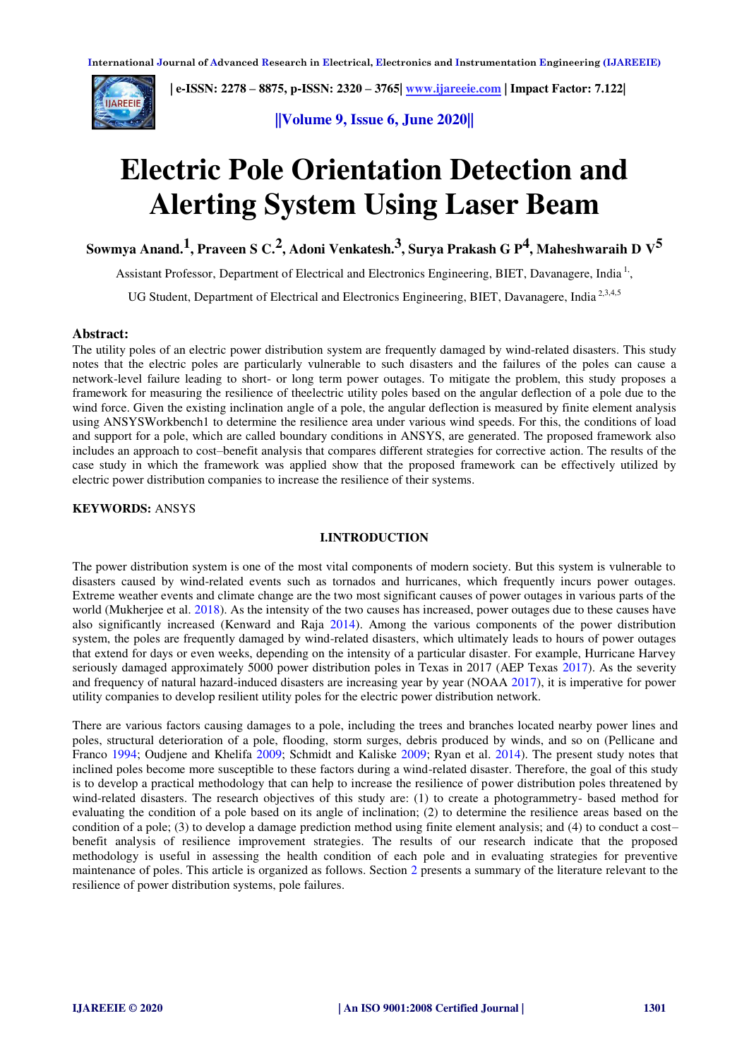

 **| e-ISSN: 2278 – 8875, p-ISSN: 2320 – 3765[| www.ijareeie.com](http://www.ijareeie.com/) | Impact Factor: 7.122|** 

**||Volume 9, Issue 6, June 2020||** 

# **Electric Pole Orientation Detection and Alerting System Using Laser Beam**

**Sowmya Anand.1 , Praveen S C.2 , Adoni Venkatesh.3 , Surya Prakash G P4 , Maheshwaraih D V5**

Assistant Professor, Department of Electrical and Electronics Engineering, BIET, Davanagere, India<sup>1,</sup>,

UG Student, Department of Electrical and Electronics Engineering, BIET, Davanagere, India<sup>2,3,4,5</sup>

## **Abstract:**

The utility poles of an electric power distribution system are frequently damaged by wind-related disasters. This study notes that the electric poles are particularly vulnerable to such disasters and the failures of the poles can cause a network-level failure leading to short- or long term power outages. To mitigate the problem, this study proposes a framework for measuring the resilience of theelectric utility poles based on the angular deflection of a pole due to the wind force. Given the existing inclination angle of a pole, the angular deflection is measured by finite element analysis using ANSYSWorkbench1 to determine the resilience area under various wind speeds. For this, the conditions of load and support for a pole, which are called boundary conditions in ANSYS, are generated. The proposed framework also includes an approach to cost–benefit analysis that compares different strategies for corrective action. The results of the case study in which the framework was applied show that the proposed framework can be effectively utilized by electric power distribution companies to increase the resilience of their systems.

**KEYWORDS:** ANSYS

## **I.INTRODUCTION**

The power distribution system is one of the most vital components of modern society. But this system is vulnerable to disasters caused by wind-related events such as tornados and hurricanes, which frequently incurs power outages. Extreme weather events and climate change are the two most significant causes of power outages in various parts of the world (Mukherjee et al. 2018). As the intensity of the two causes has increased, power outages due to these causes have also significantly increased (Kenward and Raja 2014). Among the various components of the power distribution system, the poles are frequently damaged by wind-related disasters, which ultimately leads to hours of power outages that extend for days or even weeks, depending on the intensity of a particular disaster. For example, Hurricane Harvey seriously damaged approximately 5000 power distribution poles in Texas in 2017 (AEP Texas 2017). As the severity and frequency of natural hazard-induced disasters are increasing year by year (NOAA 2017), it is imperative for power utility companies to develop resilient utility poles for the electric power distribution network.

There are various factors causing damages to a pole, including the trees and branches located nearby power lines and poles, structural deterioration of a pole, flooding, storm surges, debris produced by winds, and so on (Pellicane and Franco 1994; Oudjene and Khelifa 2009; Schmidt and Kaliske 2009; Ryan et al. 2014). The present study notes that inclined poles become more susceptible to these factors during a wind-related disaster. Therefore, the goal of this study is to develop a practical methodology that can help to increase the resilience of power distribution poles threatened by wind-related disasters. The research objectives of this study are: (1) to create a photogrammetry- based method for evaluating the condition of a pole based on its angle of inclination; (2) to determine the resilience areas based on the condition of a pole; (3) to develop a damage prediction method using finite element analysis; and (4) to conduct a cost– benefit analysis of resilience improvement strategies. The results of our research indicate that the proposed methodology is useful in assessing the health condition of each pole and in evaluating strategies for preventive maintenance of poles. This article is organized as follows. Section 2 presents a summary of the literature relevant to the resilience of power distribution systems, pole failures.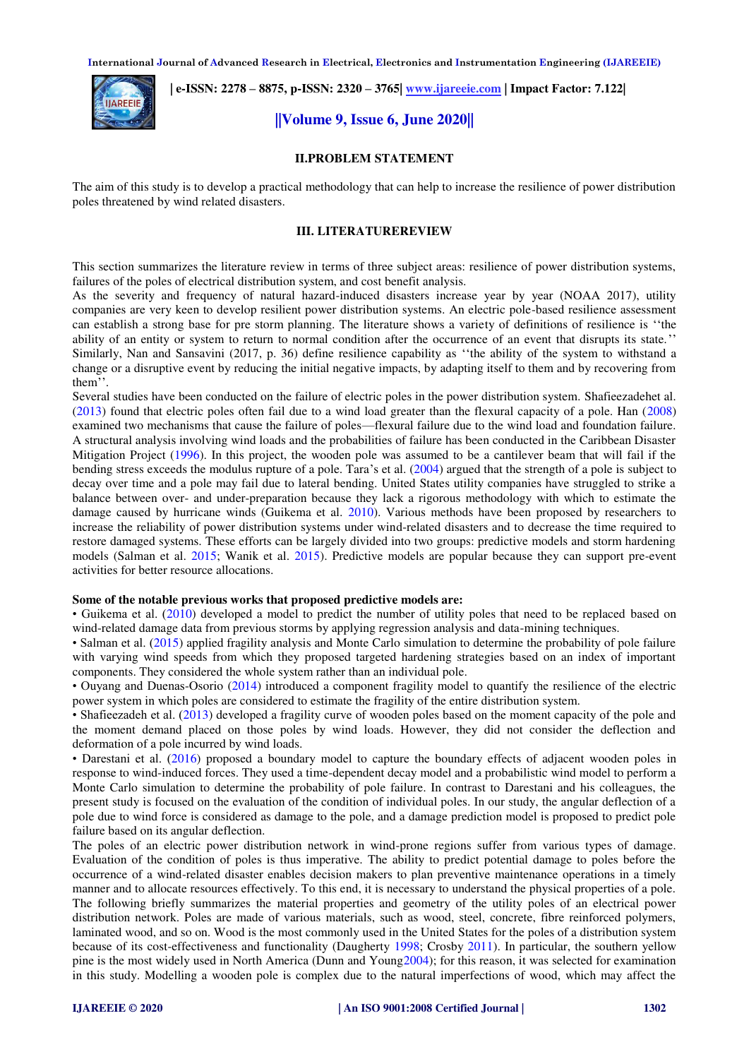**International Journal of Advanced Research in Electrical, Electronics and Instrumentation Engineering (IJAREEIE)** 



 **| e-ISSN: 2278 – 8875, p-ISSN: 2320 – 3765[| www.ijareeie.com](http://www.ijareeie.com/) | Impact Factor: 7.122|** 

# **||Volume 9, Issue 6, June 2020||**

## **II.PROBLEM STATEMENT**

The aim of this study is to develop a practical methodology that can help to increase the resilience of power distribution poles threatened by wind related disasters.

## **III. LITERATUREREVIEW**

This section summarizes the literature review in terms of three subject areas: resilience of power distribution systems, failures of the poles of electrical distribution system, and cost benefit analysis.

As the severity and frequency of natural hazard-induced disasters increase year by year (NOAA 2017), utility companies are very keen to develop resilient power distribution systems. An electric pole-based resilience assessment can establish a strong base for pre storm planning. The literature shows a variety of definitions of resilience is ''the ability of an entity or system to return to normal condition after the occurrence of an event that disrupts its state.'' Similarly, Nan and Sansavini (2017, p. 36) define resilience capability as ''the ability of the system to withstand a change or a disruptive event by reducing the initial negative impacts, by adapting itself to them and by recovering from them''.

Several studies have been conducted on the failure of electric poles in the power distribution system. Shafieezadehet al. (2013) found that electric poles often fail due to a wind load greater than the flexural capacity of a pole. Han (2008) examined two mechanisms that cause the failure of poles—flexural failure due to the wind load and foundation failure. A structural analysis involving wind loads and the probabilities of failure has been conducted in the Caribbean Disaster Mitigation Project (1996). In this project, the wooden pole was assumed to be a cantilever beam that will fail if the bending stress exceeds the modulus rupture of a pole. Tara's et al. (2004) argued that the strength of a pole is subject to decay over time and a pole may fail due to lateral bending. United States utility companies have struggled to strike a balance between over- and under-preparation because they lack a rigorous methodology with which to estimate the damage caused by hurricane winds (Guikema et al. 2010). Various methods have been proposed by researchers to increase the reliability of power distribution systems under wind-related disasters and to decrease the time required to restore damaged systems. These efforts can be largely divided into two groups: predictive models and storm hardening models (Salman et al. 2015; Wanik et al. 2015). Predictive models are popular because they can support pre-event activities for better resource allocations.

#### **Some of the notable previous works that proposed predictive models are:**

• Guikema et al. (2010) developed a model to predict the number of utility poles that need to be replaced based on wind-related damage data from previous storms by applying regression analysis and data-mining techniques.

• Salman et al. (2015) applied fragility analysis and Monte Carlo simulation to determine the probability of pole failure with varying wind speeds from which they proposed targeted hardening strategies based on an index of important components. They considered the whole system rather than an individual pole.

• Ouyang and Duenas-Osorio (2014) introduced a component fragility model to quantify the resilience of the electric power system in which poles are considered to estimate the fragility of the entire distribution system.

• Shafieezadeh et al. (2013) developed a fragility curve of wooden poles based on the moment capacity of the pole and the moment demand placed on those poles by wind loads. However, they did not consider the deflection and deformation of a pole incurred by wind loads.

• Darestani et al. (2016) proposed a boundary model to capture the boundary effects of adjacent wooden poles in response to wind-induced forces. They used a time-dependent decay model and a probabilistic wind model to perform a Monte Carlo simulation to determine the probability of pole failure. In contrast to Darestani and his colleagues, the present study is focused on the evaluation of the condition of individual poles. In our study, the angular deflection of a pole due to wind force is considered as damage to the pole, and a damage prediction model is proposed to predict pole failure based on its angular deflection.

The poles of an electric power distribution network in wind-prone regions suffer from various types of damage. Evaluation of the condition of poles is thus imperative. The ability to predict potential damage to poles before the occurrence of a wind-related disaster enables decision makers to plan preventive maintenance operations in a timely manner and to allocate resources effectively. To this end, it is necessary to understand the physical properties of a pole. The following briefly summarizes the material properties and geometry of the utility poles of an electrical power distribution network. Poles are made of various materials, such as wood, steel, concrete, fibre reinforced polymers, laminated wood, and so on. Wood is the most commonly used in the United States for the poles of a distribution system because of its cost-effectiveness and functionality (Daugherty 1998; Crosby 2011). In particular, the southern yellow pine is the most widely used in North America (Dunn and Young2004); for this reason, it was selected for examination in this study. Modelling a wooden pole is complex due to the natural imperfections of wood, which may affect the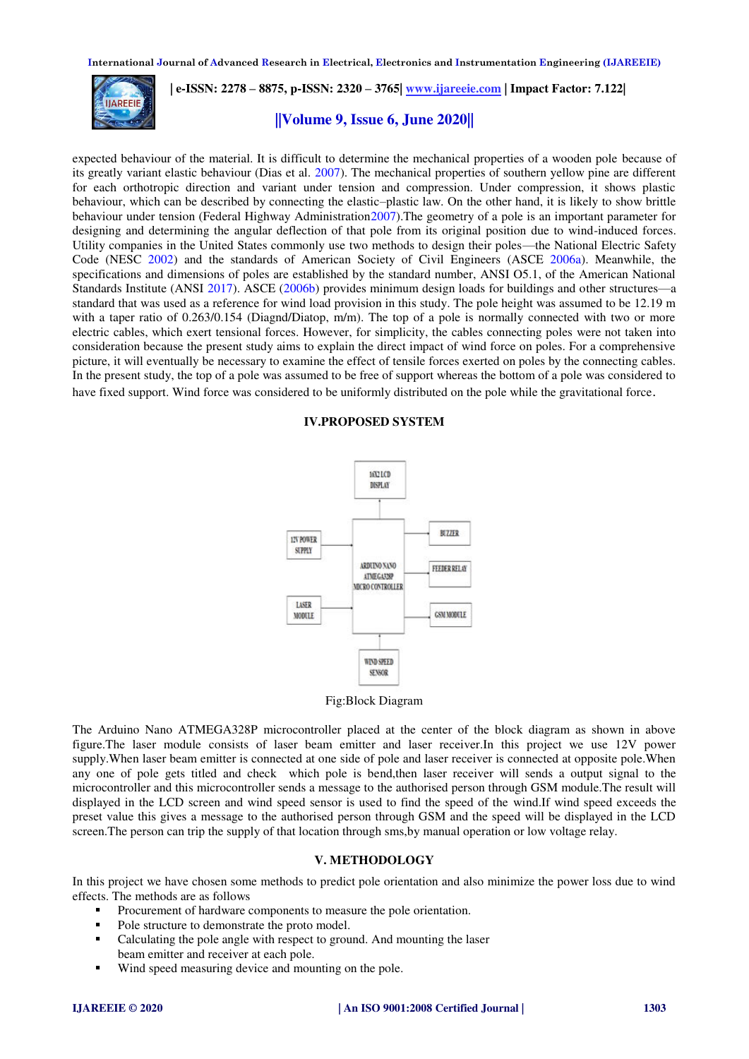**International Journal of Advanced Research in Electrical, Electronics and Instrumentation Engineering (IJAREEIE)** 



 **| e-ISSN: 2278 – 8875, p-ISSN: 2320 – 3765[| www.ijareeie.com](http://www.ijareeie.com/) | Impact Factor: 7.122|** 

# **||Volume 9, Issue 6, June 2020||**

expected behaviour of the material. It is difficult to determine the mechanical properties of a wooden pole because of its greatly variant elastic behaviour (Dias et al. 2007). The mechanical properties of southern yellow pine are different for each orthotropic direction and variant under tension and compression. Under compression, it shows plastic behaviour, which can be described by connecting the elastic–plastic law. On the other hand, it is likely to show brittle behaviour under tension (Federal Highway Administration2007). The geometry of a pole is an important parameter for designing and determining the angular deflection of that pole from its original position due to wind-induced forces. Utility companies in the United States commonly use two methods to design their poles—the National Electric Safety Code (NESC 2002) and the standards of American Society of Civil Engineers (ASCE 2006a). Meanwhile, the specifications and dimensions of poles are established by the standard number, ANSI O5.1, of the American National Standards Institute (ANSI 2017). ASCE (2006b) provides minimum design loads for buildings and other structures—a standard that was used as a reference for wind load provision in this study. The pole height was assumed to be 12.19 m with a taper ratio of 0.263/0.154 (Diagnd/Diatop, m/m). The top of a pole is normally connected with two or more electric cables, which exert tensional forces. However, for simplicity, the cables connecting poles were not taken into consideration because the present study aims to explain the direct impact of wind force on poles. For a comprehensive picture, it will eventually be necessary to examine the effect of tensile forces exerted on poles by the connecting cables. In the present study, the top of a pole was assumed to be free of support whereas the bottom of a pole was considered to have fixed support. Wind force was considered to be uniformly distributed on the pole while the gravitational force.

### **IV.PROPOSED SYSTEM**



Fig:Block Diagram

The Arduino Nano ATMEGA328P microcontroller placed at the center of the block diagram as shown in above figure.The laser module consists of laser beam emitter and laser receiver.In this project we use 12V power supply.When laser beam emitter is connected at one side of pole and laser receiver is connected at opposite pole.When any one of pole gets titled and check which pole is bend,then laser receiver will sends a output signal to the microcontroller and this microcontroller sends a message to the authorised person through GSM module.The result will displayed in the LCD screen and wind speed sensor is used to find the speed of the wind.If wind speed exceeds the preset value this gives a message to the authorised person through GSM and the speed will be displayed in the LCD screen.The person can trip the supply of that location through sms,by manual operation or low voltage relay.

## **V. METHODOLOGY**

In this project we have chosen some methods to predict pole orientation and also minimize the power loss due to wind effects. The methods are as follows

- Procurement of hardware components to measure the pole orientation.
- Pole structure to demonstrate the proto model.
- Calculating the pole angle with respect to ground. And mounting the laser beam emitter and receiver at each pole.
- Wind speed measuring device and mounting on the pole.